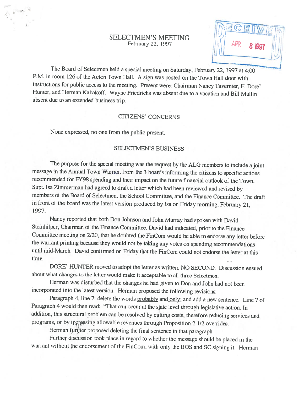### SELECTMEN'S MEETING February 22, 1997

The Board of Selectmen held <sup>a</sup> special meeting on Saturday, February 22, <sup>1997</sup> at 4:00 P.M. in room <sup>126</sup> of the Acton Town Hall. <sup>A</sup> sign was posted on the Town Hall door with instructions for public access to the meeting. Present were: Chairman Nancy Tavernier, F. Dore' Hunter, and Herman Kabakoff. Wayne Friedrichs was absent due to a vacation and Bill Mullin absent due to an extended business trip.

#### CITIZENS' CONCERNS

None expressed, no one from the public present.

#### SELECTMEN'S BUSINESS

The purpose for the special meeting was the request by the ALG members to include <sup>a</sup> joint message in the Annual Town Warrant from the <sup>3</sup> boards informing the citizens to specific actions recommended for FY98 spending and their impact on the future financial outlook of the Town. Supt. Isa Zimmerman had agreed to draft <sup>a</sup> letter which had been reviewed and revised by members of the Board of Selectmen, the School Committee, and the Finance Committee. The draft in front of the board was the latest version produced by Isa on Friday morning, February 21, 1997.

Nancy reported that both Don Johnson and John Murray had spoken with David Steinhilper, Chairman of the Finance Committee. David had indicated, prior to the Finance Committee meeting on 2/20, that he doubted the FinCom would be able to endorse any letter before the warrant printing because they would not be taking any votes on spending recommendations until mid-March. David confirmed on Friday that the FinCom could not endorse the letter at this time.

DORE' HUNTER moved to adopt the letter as written, NO SECOND. Discussion ensued about what changes to the letter would make it acceptable to all three Selectmen.

Herman was disturbed that the obanges he had <sup>g</sup>iven to Don and John had not been incorporated into the latest version. Herman proposed the following revisions:

Paragraph 4, line 7: delete the words probably and only: and add <sup>a</sup> new sentence. Line <sup>7</sup> of Paragraph <sup>4</sup> woutd then read: "That can occur at the state level through legislative action. In addition, this structural problem can be resolved by cutting costs, therefore reducing services and programs, or by increasing allowable revenues through Proposition 2 1/2 overrides.

Herman further proposed deleting the final sentence in that paragraph.

Further discussion took <sup>p</sup>lace in regard to whether the message should be <sup>p</sup>laced in the warrant without the endorsement of the FinCom, with only the BOS and SC signing it. Herman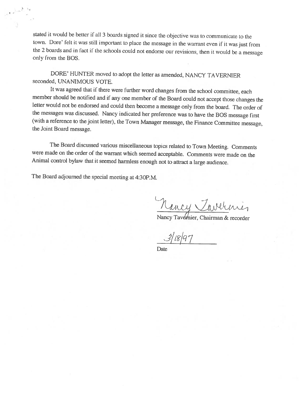stated it would be better if all <sup>3</sup> boards signed it since the objective was to communicate to the town. Dore' felt it was stilt important to <sup>p</sup>lace the message in the warrant even if it was just from the <sup>2</sup> boards and in fact if the schools could not endorse our revisions, then it would be <sup>a</sup> message only from the BOS.

DORE' HUNTER moved to adopt the letter as amended, NANCY TA VERNIER seconded, UNANIMOUS VOTE.

It was agreed that if there were further word changes from the school committee, each member should be notified and if any one member of the Board could not accept those changes the letter would not be endorsed and could then become <sup>a</sup> message only from the board. The order of the messages was discussed. Nancy indicated her preference was to have the <sup>305</sup> message first (with <sup>a</sup> reference to the joint letter), the Town Manager message, the Finance Committee message, the Joint Board message.

The Board discussed various miscellaneous topics related to Town Meeting. Comments were made on the order of the warrant which seemed acceptable. Comments were made on the Animal control bylaw that it seemed harmless enoug<sup>h</sup> not to attract <sup>a</sup> large audience.

The Board adjourned the special meeting at 4:30P.M.

Mancy Vaver

Nancy Tavdmier, Chairman & recorder

Date